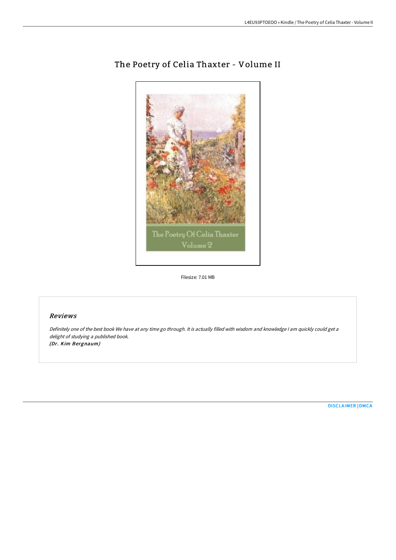

# The Poetry of Celia Thaxter - Volume II

Filesize: 7.01 MB

## Reviews

Definitely one of the best book We have at any time go through. It is actually filled with wisdom and knowledge <sup>I</sup> am quickly could get <sup>a</sup> delight of studying <sup>a</sup> published book. (Dr. Kim Bergnaum)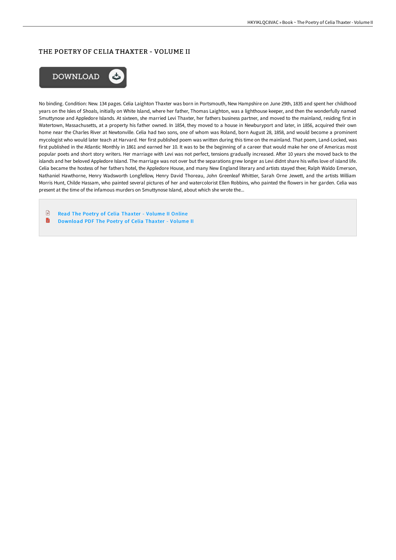### THE POETRY OF CELIA THAXTER - VOLUME II



No binding. Condition: New. 134 pages. Celia Laighton Thaxter was born in Portsmouth, New Hampshire on June 29th, 1835 and spent her childhood years on the Isles of Shoals, initially on White Island, where her father, Thomas Laighton, was a lighthouse keeper, and then the wonderfully named Smuttynose and Appledore Islands. At sixteen, she married Levi Thaxter, her fathers business partner, and moved to the mainland, residing first in Watertown, Massachusetts, at a property his father owned. In 1854, they moved to a house in Newburyport and later, in 1856, acquired their own home near the Charles River at Newtonville. Celia had two sons, one of whom was Roland, born August 28, 1858, and would become a prominent mycologist who would later teach at Harvard. Her first published poem was written during this time on the mainland. That poem, Land-Locked, was first published in the Atlantic Monthly in 1861 and earned her 10. It was to be the beginning of a career that would make her one of Americas most popular poets and short story writers. Her marriage with Levi was not perfect, tensions gradually increased. AFer 10 years she moved back to the islands and her beloved Appledore Island. The marriage was not over but the separations grew longer as Levi didnt share his wifes love of island life. Celia became the hostess of her fathers hotel, the Appledore House, and many New England literary and artists stayed thee; Ralph Waldo Emerson, Nathaniel Hawthorne, Henry Wadsworth Longfellow, Henry David Thoreau, John Greenleaf Whittier, Sarah Orne Jewett, and the artists William Morris Hunt, Childe Hassam, who painted several pictures of her and watercolorist Ellen Robbins, who painted the flowers in her garden. Celia was present at the time of the infamous murders on Smuttynose Island, about which she wrote the...

 $\begin{array}{c} \hline \end{array}$ Read The Poetry of Celia [Thaxter](http://www.bookdirs.com/the-poetry-of-celia-thaxter-volume-ii.html) - Volume II Online  $\blacksquare$ [Download](http://www.bookdirs.com/the-poetry-of-celia-thaxter-volume-ii.html) PDF The Poetry of Celia Thaxter - Volume II